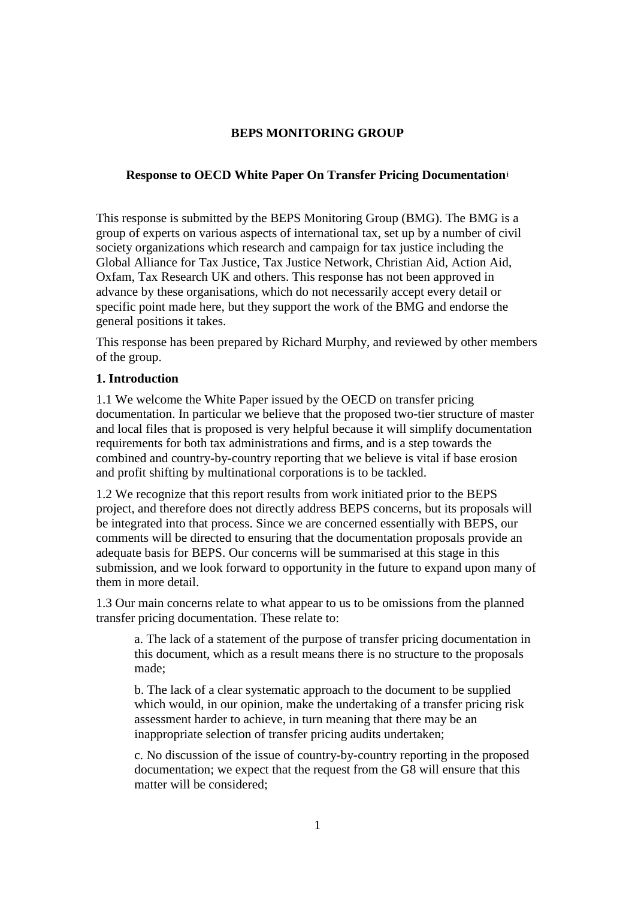# **BEPS MONITORING GROUP**

### **Response to OECD White Paper On Transfer Pricing Documentation[i](#page-7-0)**

This response is submitted by the BEPS Monitoring Group (BMG). The BMG is a group of experts on various aspects of international tax, set up by a number of civil society organizations which research and campaign for tax justice including the Global Alliance for Tax Justice, Tax Justice Network, Christian Aid, Action Aid, Oxfam, Tax Research UK and others. This response has not been approved in advance by these organisations, which do not necessarily accept every detail or specific point made here, but they support the work of the BMG and endorse the general positions it takes.

This response has been prepared by Richard Murphy, and reviewed by other members of the group.

## **1. Introduction**

1.1 We welcome the White Paper issued by the OECD on transfer pricing documentation. In particular we believe that the proposed two-tier structure of master and local files that is proposed is very helpful because it will simplify documentation requirements for both tax administrations and firms, and is a step towards the combined and country-by-country reporting that we believe is vital if base erosion and profit shifting by multinational corporations is to be tackled.

1.2 We recognize that this report results from work initiated prior to the BEPS project, and therefore does not directly address BEPS concerns, but its proposals will be integrated into that process. Since we are concerned essentially with BEPS, our comments will be directed to ensuring that the documentation proposals provide an adequate basis for BEPS. Our concerns will be summarised at this stage in this submission, and we look forward to opportunity in the future to expand upon many of them in more detail.

1.3 Our main concerns relate to what appear to us to be omissions from the planned transfer pricing documentation. These relate to:

a. The lack of a statement of the purpose of transfer pricing documentation in this document, which as a result means there is no structure to the proposals made;

b. The lack of a clear systematic approach to the document to be supplied which would, in our opinion, make the undertaking of a transfer pricing risk assessment harder to achieve, in turn meaning that there may be an inappropriate selection of transfer pricing audits undertaken;

c. No discussion of the issue of country-by-country reporting in the proposed documentation; we expect that the request from the G8 will ensure that this matter will be considered;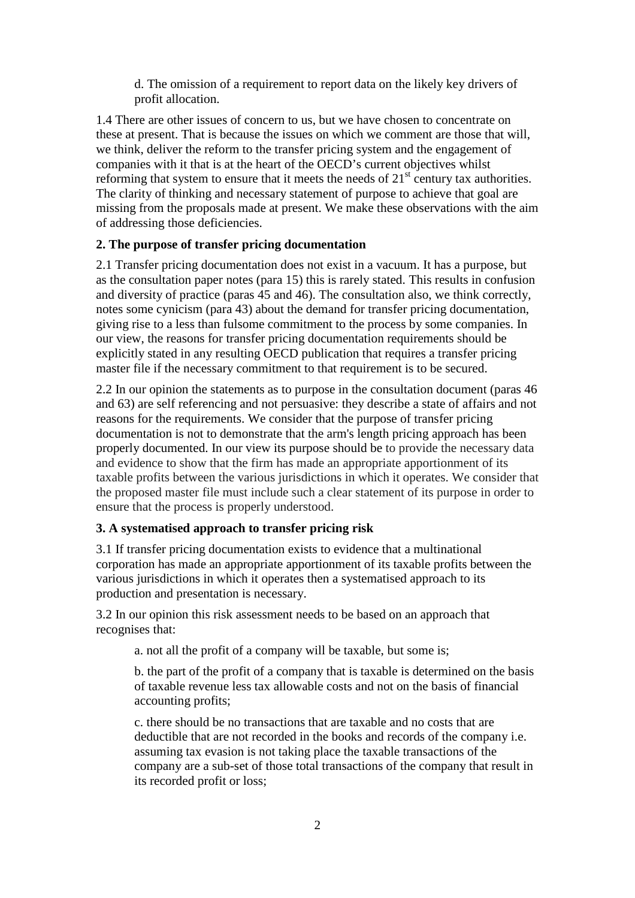d. The omission of a requirement to report data on the likely key drivers of profit allocation.

1.4 There are other issues of concern to us, but we have chosen to concentrate on these at present. That is because the issues on which we comment are those that will, we think, deliver the reform to the transfer pricing system and the engagement of companies with it that is at the heart of the OECD's current objectives whilst reforming that system to ensure that it meets the needs of  $21<sup>st</sup>$  century tax authorities. The clarity of thinking and necessary statement of purpose to achieve that goal are missing from the proposals made at present. We make these observations with the aim of addressing those deficiencies.

### **2. The purpose of transfer pricing documentation**

2.1 Transfer pricing documentation does not exist in a vacuum. It has a purpose, but as the consultation paper notes (para 15) this is rarely stated. This results in confusion and diversity of practice (paras 45 and 46). The consultation also, we think correctly, notes some cynicism (para 43) about the demand for transfer pricing documentation, giving rise to a less than fulsome commitment to the process by some companies. In our view, the reasons for transfer pricing documentation requirements should be explicitly stated in any resulting OECD publication that requires a transfer pricing master file if the necessary commitment to that requirement is to be secured.

2.2 In our opinion the statements as to purpose in the consultation document (paras 46 and 63) are self referencing and not persuasive: they describe a state of affairs and not reasons for the requirements. We consider that the purpose of transfer pricing documentation is not to demonstrate that the arm's length pricing approach has been properly documented. In our view its purpose should be to provide the necessary data and evidence to show that the firm has made an appropriate apportionment of its taxable profits between the various jurisdictions in which it operates. We consider that the proposed master file must include such a clear statement of its purpose in order to ensure that the process is properly understood.

#### **3. A systematised approach to transfer pricing risk**

3.1 If transfer pricing documentation exists to evidence that a multinational corporation has made an appropriate apportionment of its taxable profits between the various jurisdictions in which it operates then a systematised approach to its production and presentation is necessary.

3.2 In our opinion this risk assessment needs to be based on an approach that recognises that:

a. not all the profit of a company will be taxable, but some is;

b. the part of the profit of a company that is taxable is determined on the basis of taxable revenue less tax allowable costs and not on the basis of financial accounting profits;

c. there should be no transactions that are taxable and no costs that are deductible that are not recorded in the books and records of the company i.e. assuming tax evasion is not taking place the taxable transactions of the company are a sub-set of those total transactions of the company that result in its recorded profit or loss;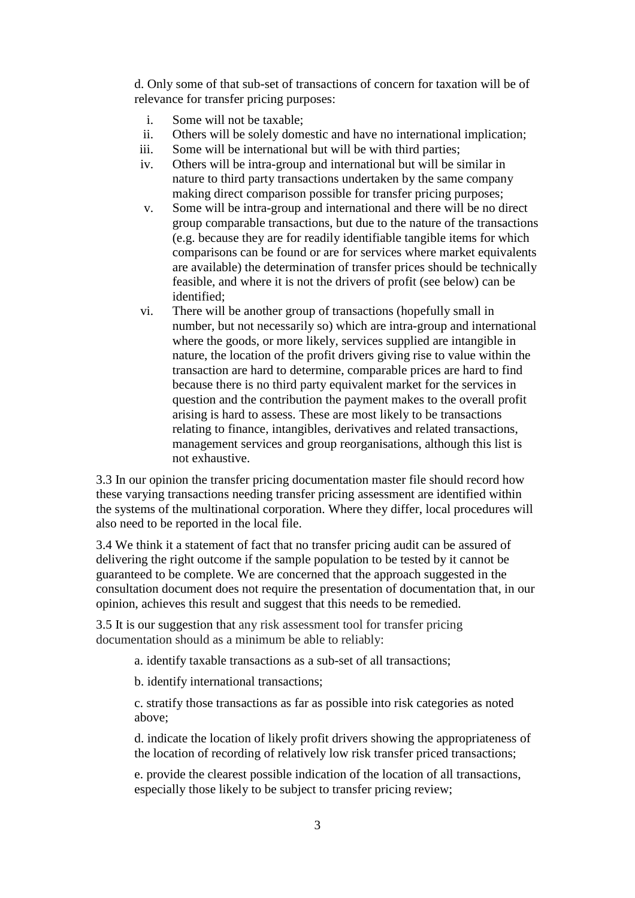d. Only some of that sub-set of transactions of concern for taxation will be of relevance for transfer pricing purposes:

- i. Some will not be taxable;<br>ii. Others will be solely dom
- ii. Others will be solely domestic and have no international implication;<br>iii. Some will be international but will be with third parties:
- Some will be international but will be with third parties;
- iv. Others will be intra-group and international but will be similar in nature to third party transactions undertaken by the same company making direct comparison possible for transfer pricing purposes;
- v. Some will be intra-group and international and there will be no direct group comparable transactions, but due to the nature of the transactions (e.g. because they are for readily identifiable tangible items for which comparisons can be found or are for services where market equivalents are available) the determination of transfer prices should be technically feasible, and where it is not the drivers of profit (see below) can be identified;
- vi. There will be another group of transactions (hopefully small in number, but not necessarily so) which are intra-group and international where the goods, or more likely, services supplied are intangible in nature, the location of the profit drivers giving rise to value within the transaction are hard to determine, comparable prices are hard to find because there is no third party equivalent market for the services in question and the contribution the payment makes to the overall profit arising is hard to assess. These are most likely to be transactions relating to finance, intangibles, derivatives and related transactions, management services and group reorganisations, although this list is not exhaustive.

3.3 In our opinion the transfer pricing documentation master file should record how these varying transactions needing transfer pricing assessment are identified within the systems of the multinational corporation. Where they differ, local procedures will also need to be reported in the local file.

3.4 We think it a statement of fact that no transfer pricing audit can be assured of delivering the right outcome if the sample population to be tested by it cannot be guaranteed to be complete. We are concerned that the approach suggested in the consultation document does not require the presentation of documentation that, in our opinion, achieves this result and suggest that this needs to be remedied.

3.5 It is our suggestion that any risk assessment tool for transfer pricing documentation should as a minimum be able to reliably:

a. identify taxable transactions as a sub-set of all transactions;

b. identify international transactions;

c. stratify those transactions as far as possible into risk categories as noted above;

d. indicate the location of likely profit drivers showing the appropriateness of the location of recording of relatively low risk transfer priced transactions;

e. provide the clearest possible indication of the location of all transactions, especially those likely to be subject to transfer pricing review;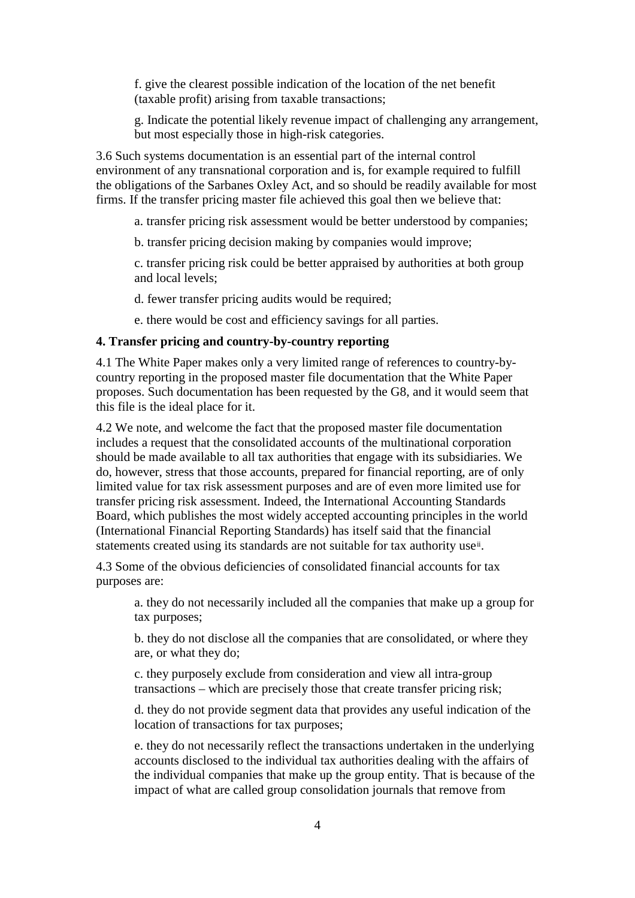f. give the clearest possible indication of the location of the net benefit (taxable profit) arising from taxable transactions;

g. Indicate the potential likely revenue impact of challenging any arrangement, but most especially those in high-risk categories.

3.6 Such systems documentation is an essential part of the internal control environment of any transnational corporation and is, for example required to fulfill the obligations of the Sarbanes Oxley Act, and so should be readily available for most firms. If the transfer pricing master file achieved this goal then we believe that:

a. transfer pricing risk assessment would be better understood by companies;

b. transfer pricing decision making by companies would improve;

c. transfer pricing risk could be better appraised by authorities at both group and local levels;

d. fewer transfer pricing audits would be required;

e. there would be cost and efficiency savings for all parties.

#### **4. Transfer pricing and country-by-country reporting**

4.1 The White Paper makes only a very limited range of references to country-bycountry reporting in the proposed master file documentation that the White Paper proposes. Such documentation has been requested by the G8, and it would seem that this file is the ideal place for it.

4.2 We note, and welcome the fact that the proposed master file documentation includes a request that the consolidated accounts of the multinational corporation should be made available to all tax authorities that engage with its subsidiaries. We do, however, stress that those accounts, prepared for financial reporting, are of only limited value for tax risk assessment purposes and are of even more limited use for transfer pricing risk assessment. Indeed, the International Accounting Standards Board, which publishes the most widely accepted accounting principles in the world (International Financial Reporting Standards) has itself said that the finan[ci](#page-7-1)al statements created using its standards are not suitable for tax authority use<sup>ii</sup>.

4.3 Some of the obvious deficiencies of consolidated financial accounts for tax purposes are:

a. they do not necessarily included all the companies that make up a group for tax purposes;

b. they do not disclose all the companies that are consolidated, or where they are, or what they do;

c. they purposely exclude from consideration and view all intra-group transactions – which are precisely those that create transfer pricing risk;

d. they do not provide segment data that provides any useful indication of the location of transactions for tax purposes;

e. they do not necessarily reflect the transactions undertaken in the underlying accounts disclosed to the individual tax authorities dealing with the affairs of the individual companies that make up the group entity. That is because of the impact of what are called group consolidation journals that remove from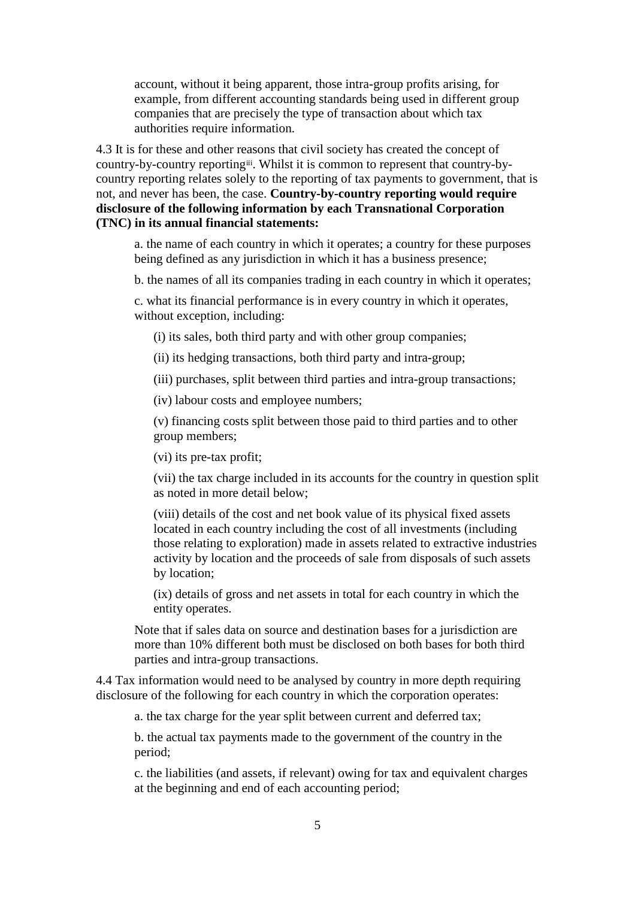account, without it being apparent, those intra-group profits arising, for example, from different accounting standards being used in different group companies that are precisely the type of transaction about which tax authorities require information.

4.3 It is for these and other r[eas](#page-7-2)ons that civil society has created the concept of country-by-country reportingiii. Whilst it is common to represent that country-bycountry reporting relates solely to the reporting of tax payments to government, that is not, and never has been, the case. **Country-by-country reporting would require disclosure of the following information by each Transnational Corporation (TNC) in its annual financial statements:**

a. the name of each country in which it operates; a country for these purposes being defined as any jurisdiction in which it has a business presence;

b. the names of all its companies trading in each country in which it operates;

c. what its financial performance is in every country in which it operates, without exception, including:

(i) its sales, both third party and with other group companies;

(ii) its hedging transactions, both third party and intra-group;

(iii) purchases, split between third parties and intra-group transactions;

(iv) labour costs and employee numbers;

(v) financing costs split between those paid to third parties and to other group members;

(vi) its pre-tax profit;

(vii) the tax charge included in its accounts for the country in question split as noted in more detail below;

(viii) details of the cost and net book value of its physical fixed assets located in each country including the cost of all investments (including those relating to exploration) made in assets related to extractive industries activity by location and the proceeds of sale from disposals of such assets by location;

(ix) details of gross and net assets in total for each country in which the entity operates.

Note that if sales data on source and destination bases for a jurisdiction are more than 10% different both must be disclosed on both bases for both third parties and intra-group transactions.

4.4 Tax information would need to be analysed by country in more depth requiring disclosure of the following for each country in which the corporation operates:

a. the tax charge for the year split between current and deferred tax;

b. the actual tax payments made to the government of the country in the period;

c. the liabilities (and assets, if relevant) owing for tax and equivalent charges at the beginning and end of each accounting period;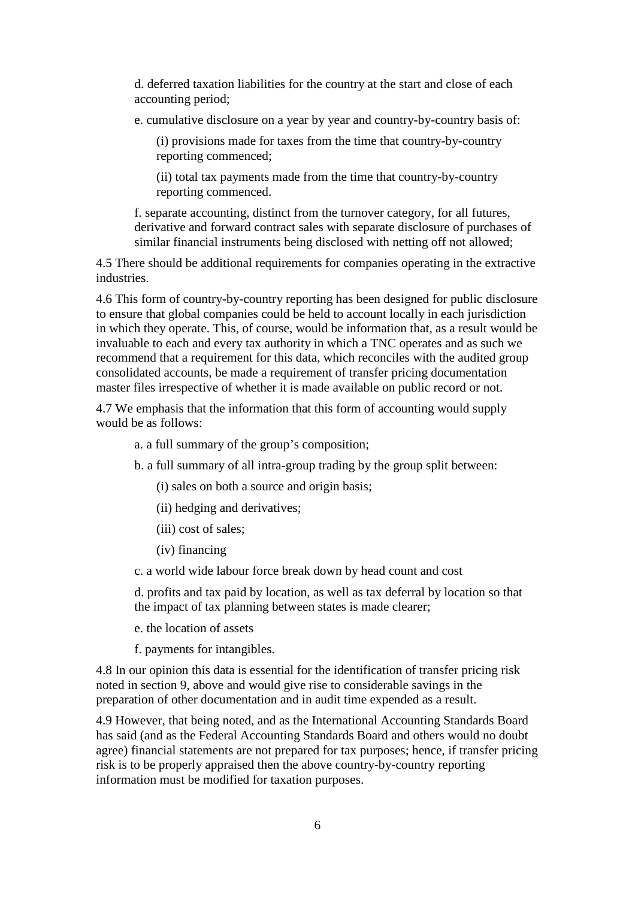d. deferred taxation liabilities for the country at the start and close of each accounting period;

e. cumulative disclosure on a year by year and country-by-country basis of:

(i) provisions made for taxes from the time that country-by-country reporting commenced;

(ii) total tax payments made from the time that country-by-country reporting commenced.

f. separate accounting, distinct from the turnover category, for all futures, derivative and forward contract sales with separate disclosure of purchases of similar financial instruments being disclosed with netting off not allowed;

4.5 There should be additional requirements for companies operating in the extractive industries.

4.6 This form of country-by-country reporting has been designed for public disclosure to ensure that global companies could be held to account locally in each jurisdiction in which they operate. This, of course, would be information that, as a result would be invaluable to each and every tax authority in which a TNC operates and as such we recommend that a requirement for this data, which reconciles with the audited group consolidated accounts, be made a requirement of transfer pricing documentation master files irrespective of whether it is made available on public record or not.

4.7 We emphasis that the information that this form of accounting would supply would be as follows:

a. a full summary of the group's composition;

b. a full summary of all intra-group trading by the group split between:

(i) sales on both a source and origin basis;

(ii) hedging and derivatives;

- (iii) cost of sales;
- (iv) financing
- c. a world wide labour force break down by head count and cost

d. profits and tax paid by location, as well as tax deferral by location so that the impact of tax planning between states is made clearer;

e. the location of assets

f. payments for intangibles.

4.8 In our opinion this data is essential for the identification of transfer pricing risk noted in section 9, above and would give rise to considerable savings in the preparation of other documentation and in audit time expended as a result.

4.9 However, that being noted, and as the International Accounting Standards Board has said (and as the Federal Accounting Standards Board and others would no doubt agree) financial statements are not prepared for tax purposes; hence, if transfer pricing risk is to be properly appraised then the above country-by-country reporting information must be modified for taxation purposes.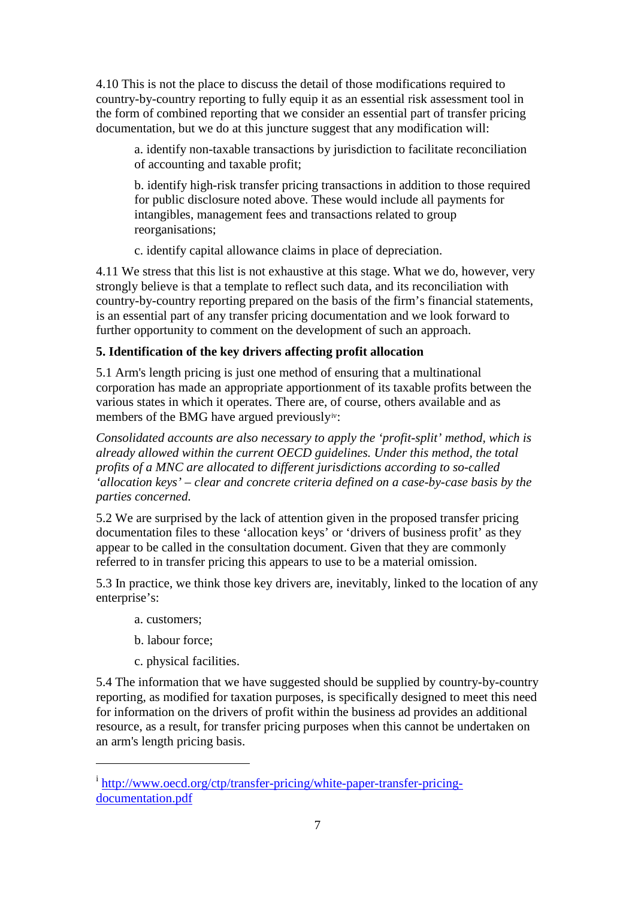4.10 This is not the place to discuss the detail of those modifications required to country-by-country reporting to fully equip it as an essential risk assessment tool in the form of combined reporting that we consider an essential part of transfer pricing documentation, but we do at this juncture suggest that any modification will:

a. identify non-taxable transactions by jurisdiction to facilitate reconciliation of accounting and taxable profit;

b. identify high-risk transfer pricing transactions in addition to those required for public disclosure noted above. These would include all payments for intangibles, management fees and transactions related to group reorganisations;

c. identify capital allowance claims in place of depreciation.

4.11 We stress that this list is not exhaustive at this stage. What we do, however, very strongly believe is that a template to reflect such data, and its reconciliation with country-by-country reporting prepared on the basis of the firm's financial statements, is an essential part of any transfer pricing documentation and we look forward to further opportunity to comment on the development of such an approach.

## **5. Identification of the key drivers affecting profit allocation**

5.1 Arm's length pricing is just one method of ensuring that a multinational corporation has made an appropriate apportionment of its taxable profits between the various states in which it operates. There are, [of](#page-7-3) course, others available and as members of the BMG have argued previouslyiv:

*Consolidated accounts are also necessary to apply the 'profit-split' method, which is already allowed within the current OECD guidelines. Under this method, the total profits of a MNC are allocated to different jurisdictions according to so-called 'allocation keys' – clear and concrete criteria defined on a case-by-case basis by the parties concerned.*

5.2 We are surprised by the lack of attention given in the proposed transfer pricing documentation files to these 'allocation keys' or 'drivers of business profit' as they appear to be called in the consultation document. Given that they are commonly referred to in transfer pricing this appears to use to be a material omission.

5.3 In practice, we think those key drivers are, inevitably, linked to the location of any enterprise's:

a. customers;

 $\overline{a}$ 

- b. labour force;
- c. physical facilities.

5.4 The information that we have suggested should be supplied by country-by-country reporting, as modified for taxation purposes, is specifically designed to meet this need for information on the drivers of profit within the business ad provides an additional resource, as a result, for transfer pricing purposes when this cannot be undertaken on an arm's length pricing basis.

<sup>&</sup>lt;sup>i</sup> [http://www.oecd.org/ctp/transfer-pricing/white-paper-transfer-pricing](http://www.oecd.org/ctp/transfer-pricing/white-paper-transfer-pricing-documentation.pdf)[documentation.pdf](http://www.oecd.org/ctp/transfer-pricing/white-paper-transfer-pricing-documentation.pdf)